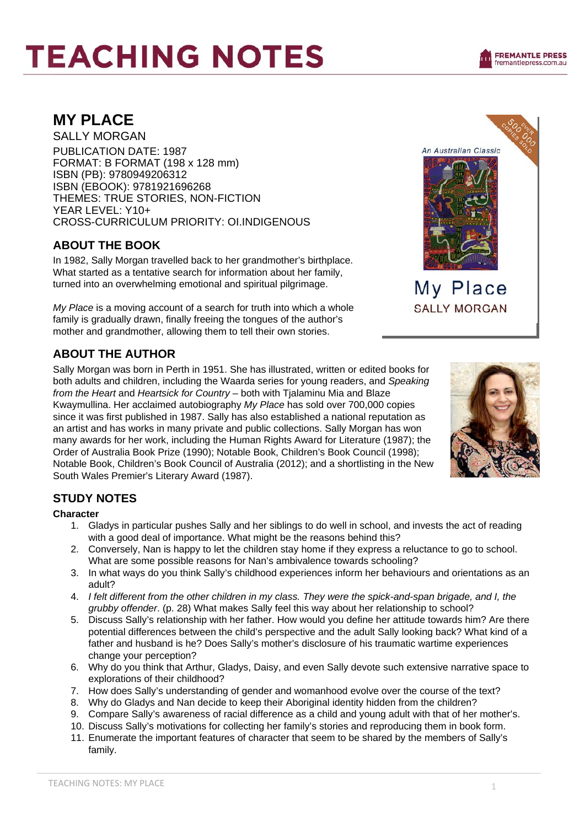# **TEACHING NOTES**

An Australian Classic

My Place **SALLY MORGAN** 

## **MY PLACE**

SALLY MORGAN PUBLICATION DATE: 1987 FORMAT: B FORMAT (198 x 128 mm) ISBN (PB): 9780949206312 ISBN (EBOOK): 9781921696268 THEMES: TRUE STORIES, NON-FICTION YEAR LEVEL: Y10+ CROSS-CURRICULUM PRIORITY: OI.INDIGENOUS

### **ABOUT THE BOOK**

In 1982, Sally Morgan travelled back to her grandmother's birthplace. What started as a tentative search for information about her family, turned into an overwhelming emotional and spiritual pilgrimage.

*My Place* is a moving account of a search for truth into which a whole family is gradually drawn, finally freeing the tongues of the author's mother and grandmother, allowing them to tell their own stories.

### **ABOUT THE AUTHOR**

Sally Morgan was born in Perth in 1951. She has illustrated, written or edited books for both adults and children, including the Waarda series for young readers, and *Speaking from the Heart* and *Heartsick for Country* – both with Tjalaminu Mia and Blaze Kwaymullina. Her acclaimed autobiography *My Place* has sold over 700,000 copies since it was first published in 1987. Sally has also established a national reputation as an artist and has works in many private and public collections. Sally Morgan has won many awards for her work, including the Human Rights Award for Literature (1987); the Order of Australia Book Prize (1990); Notable Book, Children's Book Council (1998); Notable Book, Children's Book Council of Australia (2012); and a shortlisting in the New South Wales Premier's Literary Award (1987).



### **STUDY NOTES**

### **Character**

- 1. Gladys in particular pushes Sally and her siblings to do well in school, and invests the act of reading with a good deal of importance. What might be the reasons behind this?
- 2. Conversely, Nan is happy to let the children stay home if they express a reluctance to go to school. What are some possible reasons for Nan's ambivalence towards schooling?
- 3. In what ways do you think Sally's childhood experiences inform her behaviours and orientations as an adult?
- 4. *I felt different from the other children in my class. They were the spick-and-span brigade, and I, the grubby offender*. (p. 28) What makes Sally feel this way about her relationship to school?
- 5. Discuss Sally's relationship with her father. How would you define her attitude towards him? Are there potential differences between the child's perspective and the adult Sally looking back? What kind of a father and husband is he? Does Sally's mother's disclosure of his traumatic wartime experiences change your perception?
- 6. Why do you think that Arthur, Gladys, Daisy, and even Sally devote such extensive narrative space to explorations of their childhood?
- 7. How does Sally's understanding of gender and womanhood evolve over the course of the text?
- 8. Why do Gladys and Nan decide to keep their Aboriginal identity hidden from the children?
- 9. Compare Sally's awareness of racial difference as a child and young adult with that of her mother's.
- 10. Discuss Sally's motivations for collecting her family's stories and reproducing them in book form.
- 11. Enumerate the important features of character that seem to be shared by the members of Sally's family.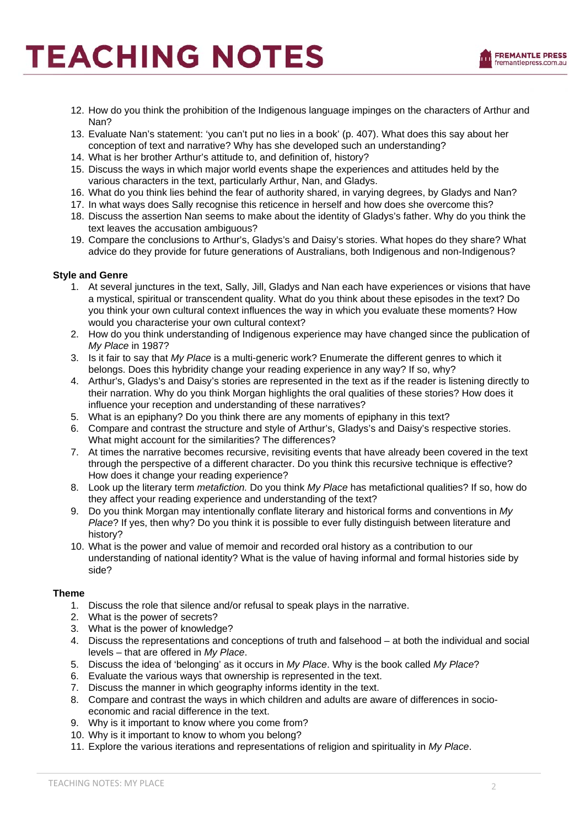# **TEACHING NOTES**



- 12. How do you think the prohibition of the Indigenous language impinges on the characters of Arthur and Nan?
- 13. Evaluate Nan's statement: 'you can't put no lies in a book' (p. 407). What does this say about her conception of text and narrative? Why has she developed such an understanding?
- 14. What is her brother Arthur's attitude to, and definition of, history?
- 15. Discuss the ways in which major world events shape the experiences and attitudes held by the various characters in the text, particularly Arthur, Nan, and Gladys.
- 16. What do you think lies behind the fear of authority shared, in varying degrees, by Gladys and Nan?
- 17. In what ways does Sally recognise this reticence in herself and how does she overcome this?
- 18. Discuss the assertion Nan seems to make about the identity of Gladys's father. Why do you think the text leaves the accusation ambiguous?
- 19. Compare the conclusions to Arthur's, Gladys's and Daisy's stories. What hopes do they share? What advice do they provide for future generations of Australians, both Indigenous and non-Indigenous?

#### **Style and Genre**

- 1. At several junctures in the text, Sally, Jill, Gladys and Nan each have experiences or visions that have a mystical, spiritual or transcendent quality. What do you think about these episodes in the text? Do you think your own cultural context influences the way in which you evaluate these moments? How would you characterise your own cultural context?
- 2. How do you think understanding of Indigenous experience may have changed since the publication of *My Place* in 1987?
- 3. Is it fair to say that *My Place* is a multi-generic work? Enumerate the different genres to which it belongs. Does this hybridity change your reading experience in any way? If so, why?
- 4. Arthur's, Gladys's and Daisy's stories are represented in the text as if the reader is listening directly to their narration. Why do you think Morgan highlights the oral qualities of these stories? How does it influence your reception and understanding of these narratives?
- 5. What is an epiphany? Do you think there are any moments of epiphany in this text?
- 6. Compare and contrast the structure and style of Arthur's, Gladys's and Daisy's respective stories. What might account for the similarities? The differences?
- 7. At times the narrative becomes recursive, revisiting events that have already been covered in the text through the perspective of a different character. Do you think this recursive technique is effective? How does it change your reading experience?
- 8. Look up the literary term *metafiction.* Do you think *My Place* has metafictional qualities? If so, how do they affect your reading experience and understanding of the text?
- 9. Do you think Morgan may intentionally conflate literary and historical forms and conventions in *My Place*? If yes, then why? Do you think it is possible to ever fully distinguish between literature and history?
- 10. What is the power and value of memoir and recorded oral history as a contribution to our understanding of national identity? What is the value of having informal and formal histories side by side?

#### **Theme**

- 1. Discuss the role that silence and/or refusal to speak plays in the narrative.
- 2. What is the power of secrets?
- 3. What is the power of knowledge?
- 4. Discuss the representations and conceptions of truth and falsehood at both the individual and social levels – that are offered in *My Place*.
- 5. Discuss the idea of 'belonging' as it occurs in *My Place*. Why is the book called *My Place*?
- 6. Evaluate the various ways that ownership is represented in the text.
- 7. Discuss the manner in which geography informs identity in the text.
- 8. Compare and contrast the ways in which children and adults are aware of differences in socioeconomic and racial difference in the text.
- 9. Why is it important to know where you come from?
- 10. Why is it important to know to whom you belong?
- 11. Explore the various iterations and representations of religion and spirituality in *My Place*.